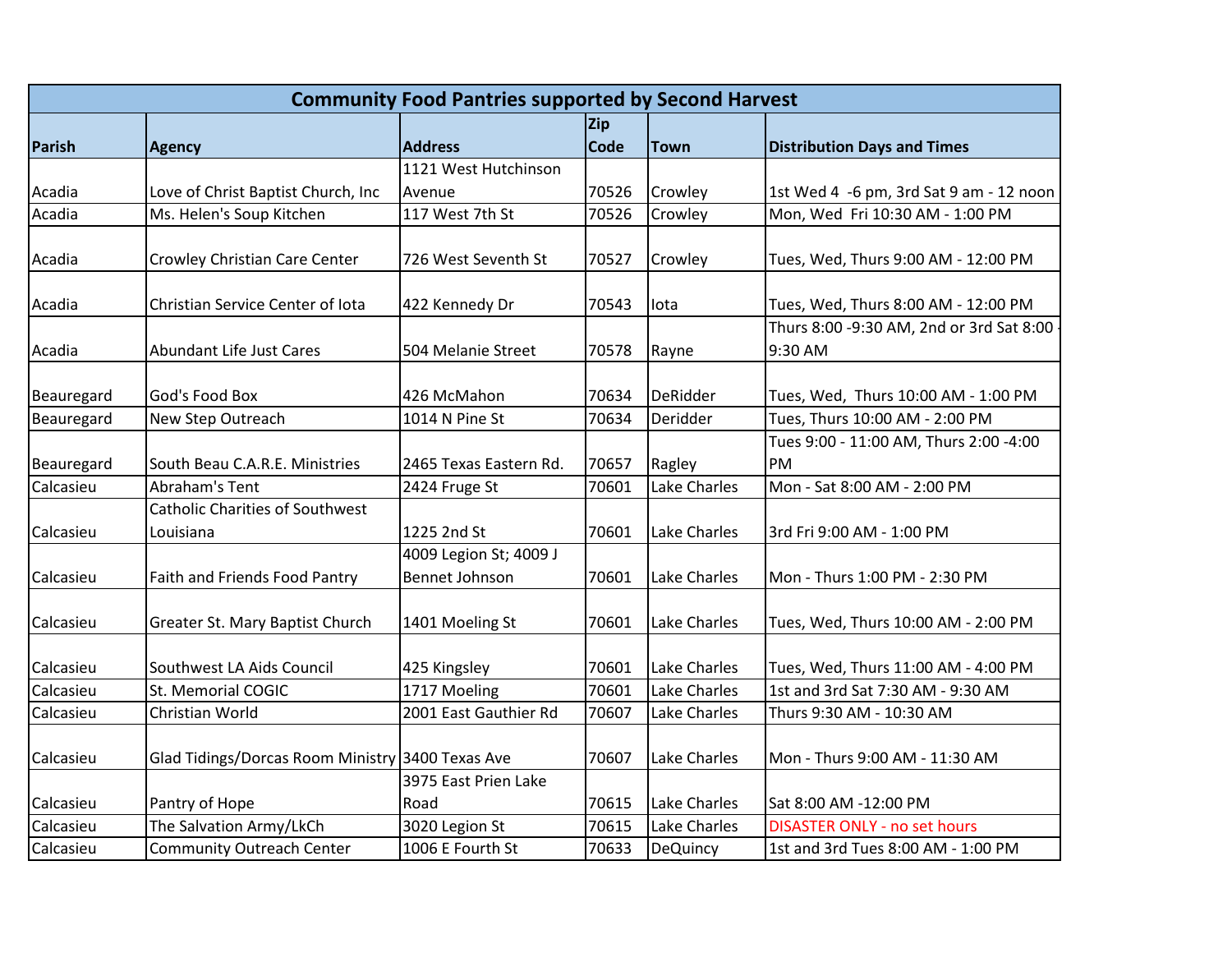| <b>Community Food Pantries supported by Second Harvest</b> |                                                  |                                                 |             |                 |                                                     |  |  |
|------------------------------------------------------------|--------------------------------------------------|-------------------------------------------------|-------------|-----------------|-----------------------------------------------------|--|--|
|                                                            |                                                  |                                                 | Zip         |                 |                                                     |  |  |
| Parish                                                     | <b>Agency</b>                                    | <b>Address</b>                                  | <b>Code</b> | <b>Town</b>     | <b>Distribution Days and Times</b>                  |  |  |
|                                                            |                                                  | 1121 West Hutchinson                            |             |                 |                                                     |  |  |
| Acadia                                                     | Love of Christ Baptist Church, Inc               | Avenue                                          | 70526       | Crowley         | 1st Wed 4 -6 pm, 3rd Sat 9 am - 12 noon             |  |  |
| Acadia                                                     | Ms. Helen's Soup Kitchen                         | 117 West 7th St                                 | 70526       | Crowley         | Mon, Wed Fri 10:30 AM - 1:00 PM                     |  |  |
| Acadia                                                     | Crowley Christian Care Center                    | 726 West Seventh St                             | 70527       | Crowley         | Tues, Wed, Thurs 9:00 AM - 12:00 PM                 |  |  |
| Acadia                                                     | Christian Service Center of Iota                 | 422 Kennedy Dr                                  | 70543       | lota            | Tues, Wed, Thurs 8:00 AM - 12:00 PM                 |  |  |
| Acadia                                                     | Abundant Life Just Cares                         | 504 Melanie Street                              | 70578       | Rayne           | Thurs 8:00 -9:30 AM, 2nd or 3rd Sat 8:00<br>9:30 AM |  |  |
| Beauregard                                                 | God's Food Box                                   | 426 McMahon                                     | 70634       | DeRidder        | Tues, Wed, Thurs 10:00 AM - 1:00 PM                 |  |  |
| Beauregard                                                 | New Step Outreach                                | 1014 N Pine St                                  | 70634       | Deridder        | Tues, Thurs 10:00 AM - 2:00 PM                      |  |  |
| Beauregard                                                 | South Beau C.A.R.E. Ministries                   | 2465 Texas Eastern Rd.                          | 70657       | Ragley          | Tues 9:00 - 11:00 AM, Thurs 2:00 -4:00<br><b>PM</b> |  |  |
| Calcasieu                                                  | Abraham's Tent                                   | 2424 Fruge St                                   | 70601       | Lake Charles    | Mon - Sat 8:00 AM - 2:00 PM                         |  |  |
|                                                            | <b>Catholic Charities of Southwest</b>           |                                                 |             |                 |                                                     |  |  |
| Calcasieu                                                  | Louisiana                                        | 1225 2nd St                                     | 70601       | Lake Charles    | 3rd Fri 9:00 AM - 1:00 PM                           |  |  |
| Calcasieu                                                  | Faith and Friends Food Pantry                    | 4009 Legion St; 4009 J<br><b>Bennet Johnson</b> | 70601       | Lake Charles    | Mon - Thurs 1:00 PM - 2:30 PM                       |  |  |
| Calcasieu                                                  | Greater St. Mary Baptist Church                  | 1401 Moeling St                                 | 70601       | Lake Charles    | Tues, Wed, Thurs 10:00 AM - 2:00 PM                 |  |  |
| Calcasieu                                                  | Southwest LA Aids Council                        | 425 Kingsley                                    | 70601       | Lake Charles    | Tues, Wed, Thurs 11:00 AM - 4:00 PM                 |  |  |
| Calcasieu                                                  | St. Memorial COGIC                               | 1717 Moeling                                    | 70601       | Lake Charles    | 1st and 3rd Sat 7:30 AM - 9:30 AM                   |  |  |
| Calcasieu                                                  | Christian World                                  | 2001 East Gauthier Rd                           | 70607       | Lake Charles    | Thurs 9:30 AM - 10:30 AM                            |  |  |
| Calcasieu                                                  | Glad Tidings/Dorcas Room Ministry 3400 Texas Ave |                                                 | 70607       | Lake Charles    | Mon - Thurs 9:00 AM - 11:30 AM                      |  |  |
| Calcasieu                                                  | Pantry of Hope                                   | 3975 East Prien Lake<br>Road                    | 70615       | Lake Charles    | Sat 8:00 AM -12:00 PM                               |  |  |
| Calcasieu                                                  | The Salvation Army/LkCh                          | 3020 Legion St                                  | 70615       | Lake Charles    | <b>DISASTER ONLY - no set hours</b>                 |  |  |
| Calcasieu                                                  | <b>Community Outreach Center</b>                 | 1006 E Fourth St                                | 70633       | <b>DeQuincy</b> | 1st and 3rd Tues 8:00 AM - 1:00 PM                  |  |  |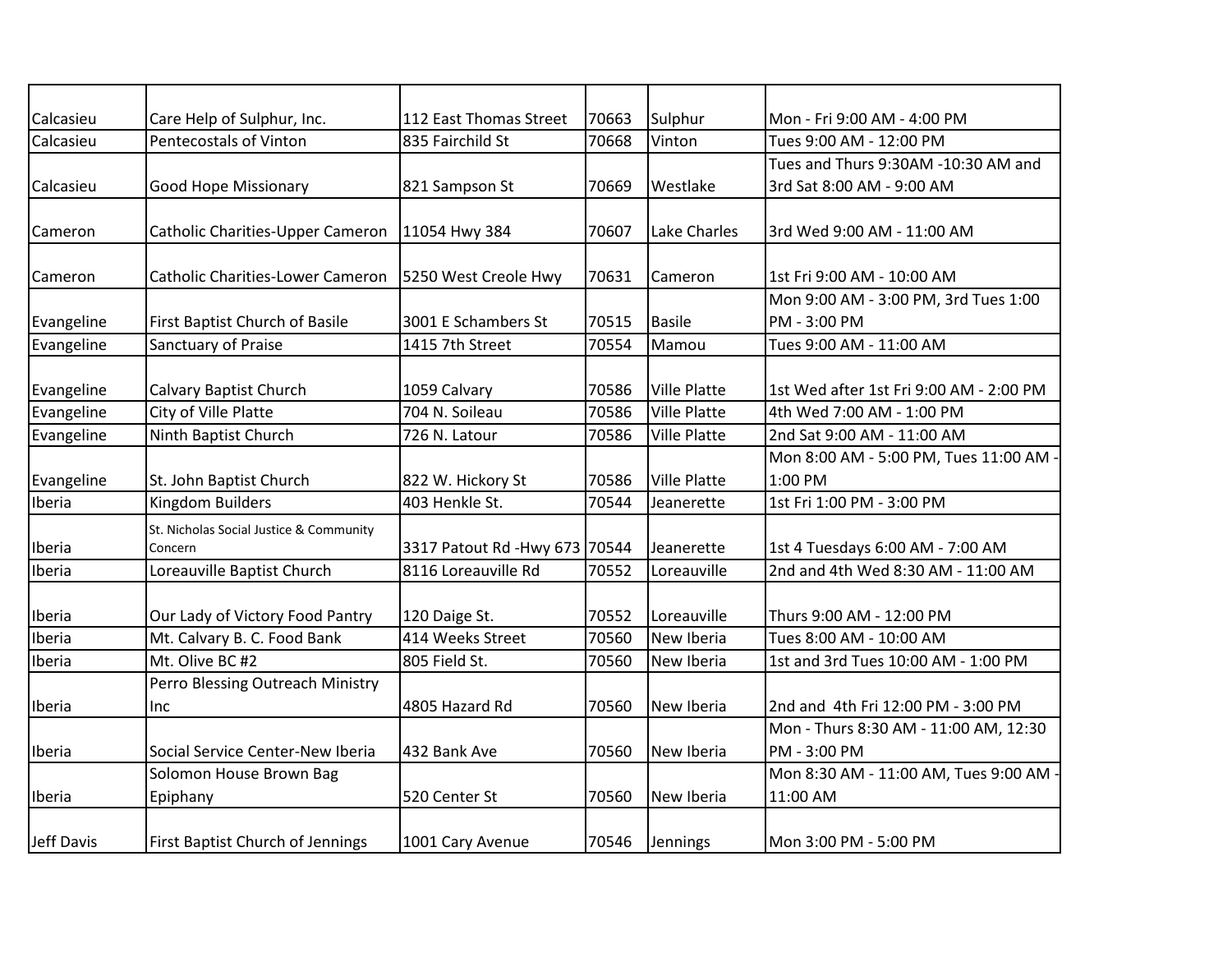| Calcasieu  | Care Help of Sulphur, Inc.                         | 112 East Thomas Street        | 70663 | Sulphur             | Mon - Fri 9:00 AM - 4:00 PM                           |
|------------|----------------------------------------------------|-------------------------------|-------|---------------------|-------------------------------------------------------|
| Calcasieu  | Pentecostals of Vinton                             | 835 Fairchild St              | 70668 | Vinton              | Tues 9:00 AM - 12:00 PM                               |
|            |                                                    |                               |       |                     | Tues and Thurs 9:30AM -10:30 AM and                   |
| Calcasieu  | <b>Good Hope Missionary</b>                        | 821 Sampson St                | 70669 | Westlake            | 3rd Sat 8:00 AM - 9:00 AM                             |
| Cameron    | Catholic Charities-Upper Cameron                   | 11054 Hwy 384                 | 70607 | Lake Charles        | 3rd Wed 9:00 AM - 11:00 AM                            |
| Cameron    | <b>Catholic Charities-Lower Cameron</b>            | 5250 West Creole Hwy          | 70631 | Cameron             | 1st Fri 9:00 AM - 10:00 AM                            |
|            |                                                    |                               |       |                     | Mon 9:00 AM - 3:00 PM, 3rd Tues 1:00                  |
| Evangeline | First Baptist Church of Basile                     | 3001 E Schambers St           | 70515 | <b>Basile</b>       | PM - 3:00 PM                                          |
| Evangeline | Sanctuary of Praise                                | 1415 7th Street               | 70554 | Mamou               | Tues 9:00 AM - 11:00 AM                               |
| Evangeline | <b>Calvary Baptist Church</b>                      | 1059 Calvary                  | 70586 | <b>Ville Platte</b> | 1st Wed after 1st Fri 9:00 AM - 2:00 PM               |
| Evangeline | City of Ville Platte                               | 704 N. Soileau                | 70586 | <b>Ville Platte</b> | 4th Wed 7:00 AM - 1:00 PM                             |
| Evangeline | Ninth Baptist Church                               | 726 N. Latour                 | 70586 | <b>Ville Platte</b> | 2nd Sat 9:00 AM - 11:00 AM                            |
| Evangeline | St. John Baptist Church                            | 822 W. Hickory St             | 70586 | <b>Ville Platte</b> | Mon 8:00 AM - 5:00 PM, Tues 11:00 AM -<br>1:00 PM     |
| Iberia     | Kingdom Builders                                   | 403 Henkle St.                | 70544 | Jeanerette          | 1st Fri 1:00 PM - 3:00 PM                             |
| Iberia     | St. Nicholas Social Justice & Community<br>Concern | 3317 Patout Rd -Hwy 673 70544 |       | Jeanerette          | 1st 4 Tuesdays 6:00 AM - 7:00 AM                      |
| Iberia     | Loreauville Baptist Church                         | 8116 Loreauville Rd           | 70552 | Loreauville         | 2nd and 4th Wed 8:30 AM - 11:00 AM                    |
| Iberia     | Our Lady of Victory Food Pantry                    | 120 Daige St.                 | 70552 | Loreauville         | Thurs 9:00 AM - 12:00 PM                              |
| Iberia     | Mt. Calvary B. C. Food Bank                        | 414 Weeks Street              | 70560 | New Iberia          | Tues 8:00 AM - 10:00 AM                               |
| Iberia     | Mt. Olive BC #2                                    | 805 Field St.                 | 70560 | New Iberia          | 1st and 3rd Tues 10:00 AM - 1:00 PM                   |
| Iberia     | Perro Blessing Outreach Ministry<br>Inc            | 4805 Hazard Rd                | 70560 | New Iberia          | 2nd and 4th Fri 12:00 PM - 3:00 PM                    |
| Iberia     | Social Service Center-New Iberia                   | 432 Bank Ave                  | 70560 | New Iberia          | Mon - Thurs 8:30 AM - 11:00 AM, 12:30<br>PM - 3:00 PM |
| Iberia     | Solomon House Brown Bag<br>Epiphany                | 520 Center St                 | 70560 | New Iberia          | Mon 8:30 AM - 11:00 AM, Tues 9:00 AM<br>11:00 AM      |
| Jeff Davis | <b>First Baptist Church of Jennings</b>            | 1001 Cary Avenue              | 70546 | Jennings            | Mon 3:00 PM - 5:00 PM                                 |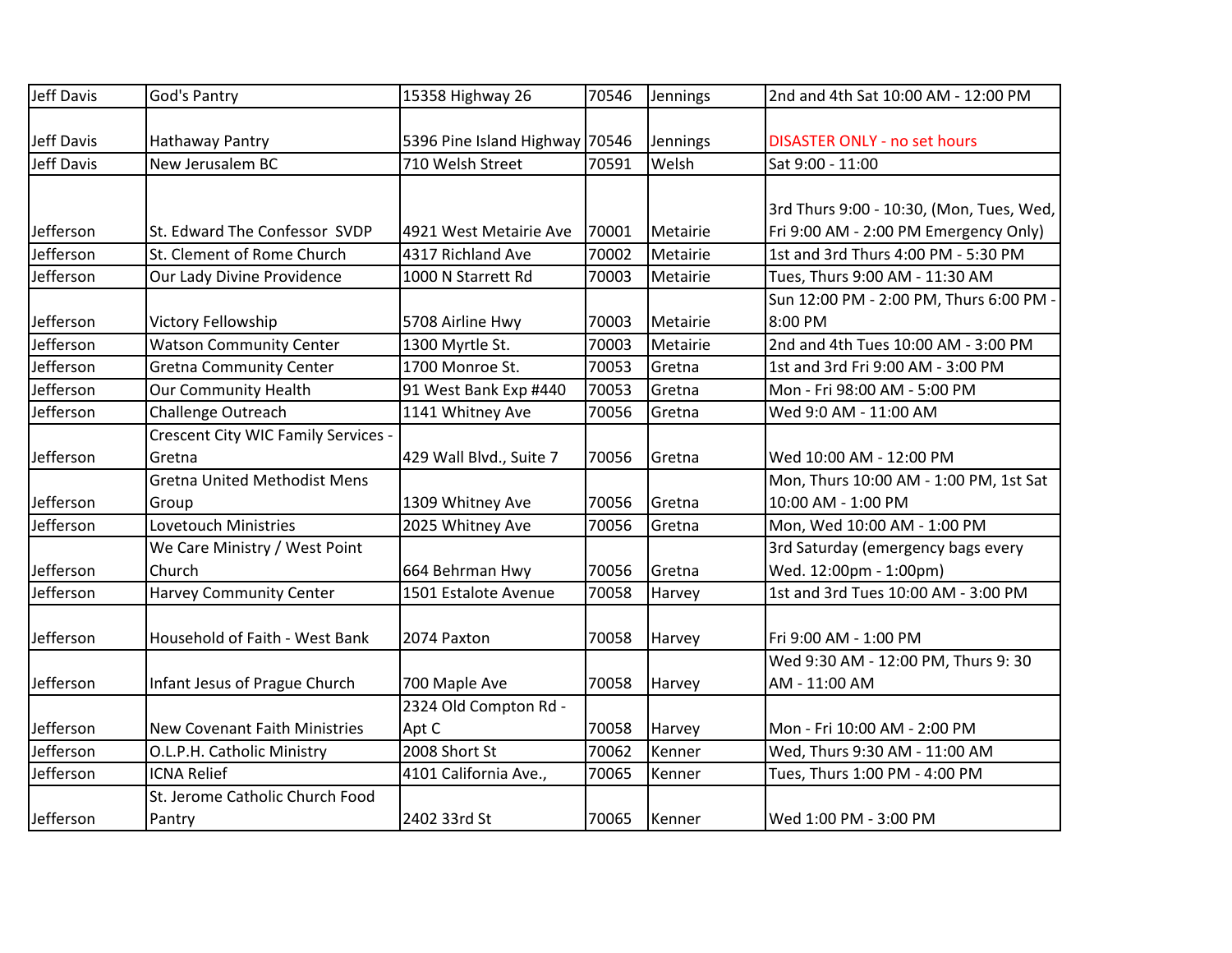| Jeff Davis | God's Pantry                         | 15358 Highway 26               | 70546 | Jennings | 2nd and 4th Sat 10:00 AM - 12:00 PM      |
|------------|--------------------------------------|--------------------------------|-------|----------|------------------------------------------|
|            |                                      |                                |       |          |                                          |
| Jeff Davis | Hathaway Pantry                      | 5396 Pine Island Highway 70546 |       | Jennings | <b>DISASTER ONLY - no set hours</b>      |
| Jeff Davis | New Jerusalem BC                     | 710 Welsh Street               | 70591 | Welsh    | Sat 9:00 - 11:00                         |
|            |                                      |                                |       |          |                                          |
|            |                                      |                                |       |          | 3rd Thurs 9:00 - 10:30, (Mon, Tues, Wed, |
| Jefferson  | St. Edward The Confessor SVDP        | 4921 West Metairie Ave         | 70001 | Metairie | Fri 9:00 AM - 2:00 PM Emergency Only)    |
| Jefferson  | St. Clement of Rome Church           | 4317 Richland Ave              | 70002 | Metairie | 1st and 3rd Thurs 4:00 PM - 5:30 PM      |
| Jefferson  | Our Lady Divine Providence           | 1000 N Starrett Rd             | 70003 | Metairie | Tues, Thurs 9:00 AM - 11:30 AM           |
|            |                                      |                                |       |          | Sun 12:00 PM - 2:00 PM, Thurs 6:00 PM -  |
| Jefferson  | Victory Fellowship                   | 5708 Airline Hwy               | 70003 | Metairie | 8:00 PM                                  |
| Jefferson  | <b>Watson Community Center</b>       | 1300 Myrtle St.                | 70003 | Metairie | 2nd and 4th Tues 10:00 AM - 3:00 PM      |
| Jefferson  | <b>Gretna Community Center</b>       | 1700 Monroe St.                | 70053 | Gretna   | 1st and 3rd Fri 9:00 AM - 3:00 PM        |
| Jefferson  | <b>Our Community Health</b>          | 91 West Bank Exp #440          | 70053 | Gretna   | Mon - Fri 98:00 AM - 5:00 PM             |
| Jefferson  | Challenge Outreach                   | 1141 Whitney Ave               | 70056 | Gretna   | Wed 9:0 AM - 11:00 AM                    |
|            | Crescent City WIC Family Services -  |                                |       |          |                                          |
| Jefferson  | Gretna                               | 429 Wall Blvd., Suite 7        | 70056 | Gretna   | Wed 10:00 AM - 12:00 PM                  |
|            | <b>Gretna United Methodist Mens</b>  |                                |       |          | Mon, Thurs 10:00 AM - 1:00 PM, 1st Sat   |
| Jefferson  | Group                                | 1309 Whitney Ave               | 70056 | Gretna   | 10:00 AM - 1:00 PM                       |
| Jefferson  | Lovetouch Ministries                 | 2025 Whitney Ave               | 70056 | Gretna   | Mon, Wed 10:00 AM - 1:00 PM              |
|            | We Care Ministry / West Point        |                                |       |          | 3rd Saturday (emergency bags every       |
| Jefferson  | Church                               | 664 Behrman Hwy                | 70056 | Gretna   | Wed. 12:00pm - 1:00pm)                   |
| Jefferson  | <b>Harvey Community Center</b>       | 1501 Estalote Avenue           | 70058 | Harvey   | 1st and 3rd Tues 10:00 AM - 3:00 PM      |
|            |                                      |                                |       |          |                                          |
| Jefferson  | Household of Faith - West Bank       | 2074 Paxton                    | 70058 | Harvey   | Fri 9:00 AM - 1:00 PM                    |
|            |                                      |                                |       |          | Wed 9:30 AM - 12:00 PM, Thurs 9:30       |
| Jefferson  | Infant Jesus of Prague Church        | 700 Maple Ave                  | 70058 | Harvey   | AM - 11:00 AM                            |
|            |                                      | 2324 Old Compton Rd -          |       |          |                                          |
| Jefferson  | <b>New Covenant Faith Ministries</b> | Apt C                          | 70058 | Harvey   | Mon - Fri 10:00 AM - 2:00 PM             |
| Jefferson  | O.L.P.H. Catholic Ministry           | 2008 Short St                  | 70062 | Kenner   | Wed, Thurs 9:30 AM - 11:00 AM            |
| Jefferson  | <b>ICNA Relief</b>                   | 4101 California Ave.,          | 70065 | Kenner   | Tues, Thurs 1:00 PM - 4:00 PM            |
|            | St. Jerome Catholic Church Food      |                                |       |          |                                          |
| Jefferson  | Pantry                               | 2402 33rd St                   | 70065 | Kenner   | Wed 1:00 PM - 3:00 PM                    |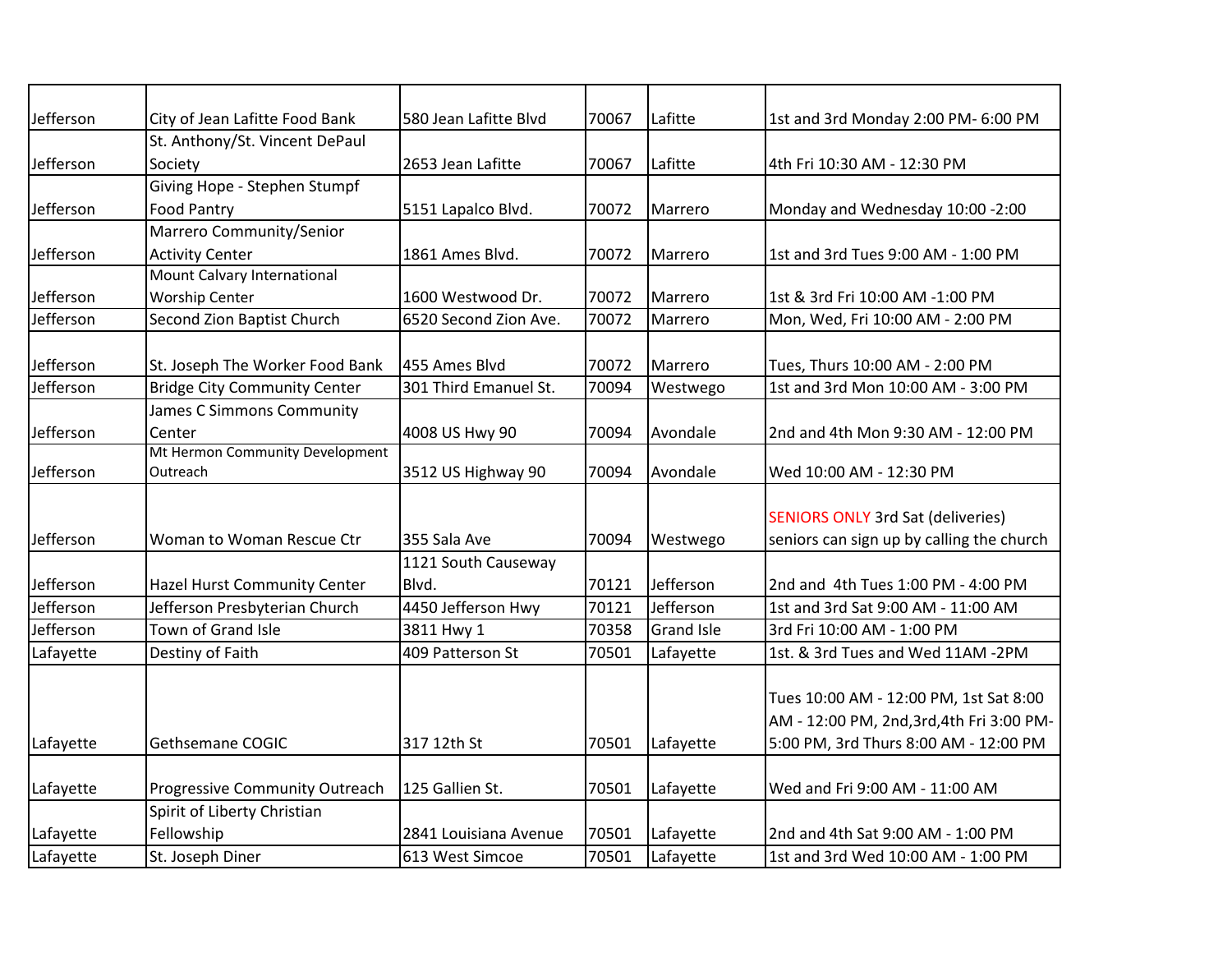| Jefferson | City of Jean Lafitte Food Bank        | 580 Jean Lafitte Blvd | 70067 | Lafitte           | 1st and 3rd Monday 2:00 PM- 6:00 PM                                                 |
|-----------|---------------------------------------|-----------------------|-------|-------------------|-------------------------------------------------------------------------------------|
|           | St. Anthony/St. Vincent DePaul        |                       |       |                   |                                                                                     |
| Jefferson | Society                               | 2653 Jean Lafitte     | 70067 | Lafitte           | 4th Fri 10:30 AM - 12:30 PM                                                         |
|           | Giving Hope - Stephen Stumpf          |                       |       |                   |                                                                                     |
| Jefferson | <b>Food Pantry</b>                    | 5151 Lapalco Blvd.    | 70072 | Marrero           | Monday and Wednesday 10:00 -2:00                                                    |
|           | Marrero Community/Senior              |                       |       |                   |                                                                                     |
| Jefferson | <b>Activity Center</b>                | 1861 Ames Blvd.       | 70072 | Marrero           | 1st and 3rd Tues 9:00 AM - 1:00 PM                                                  |
|           | Mount Calvary International           |                       |       |                   |                                                                                     |
| Jefferson | <b>Worship Center</b>                 | 1600 Westwood Dr.     | 70072 | Marrero           | 1st & 3rd Fri 10:00 AM -1:00 PM                                                     |
| Jefferson | Second Zion Baptist Church            | 6520 Second Zion Ave. | 70072 | Marrero           | Mon, Wed, Fri 10:00 AM - 2:00 PM                                                    |
|           |                                       |                       |       |                   |                                                                                     |
| Jefferson | St. Joseph The Worker Food Bank       | 455 Ames Blvd         | 70072 | Marrero           | Tues, Thurs 10:00 AM - 2:00 PM                                                      |
| Jefferson | <b>Bridge City Community Center</b>   | 301 Third Emanuel St. | 70094 | Westwego          | 1st and 3rd Mon 10:00 AM - 3:00 PM                                                  |
|           | James C Simmons Community             |                       |       |                   |                                                                                     |
| Jefferson | Center                                | 4008 US Hwy 90        | 70094 | Avondale          | 2nd and 4th Mon 9:30 AM - 12:00 PM                                                  |
|           | Mt Hermon Community Development       |                       |       |                   |                                                                                     |
| Jefferson | Outreach                              | 3512 US Highway 90    | 70094 | Avondale          | Wed 10:00 AM - 12:30 PM                                                             |
|           |                                       |                       |       |                   |                                                                                     |
|           |                                       |                       |       |                   | <b>SENIORS ONLY 3rd Sat (deliveries)</b>                                            |
| Jefferson | Woman to Woman Rescue Ctr             | 355 Sala Ave          | 70094 | Westwego          | seniors can sign up by calling the church                                           |
|           |                                       | 1121 South Causeway   |       |                   |                                                                                     |
| Jefferson | <b>Hazel Hurst Community Center</b>   | Blvd.                 | 70121 | Jefferson         | 2nd and 4th Tues 1:00 PM - 4:00 PM                                                  |
| Jefferson | Jefferson Presbyterian Church         | 4450 Jefferson Hwy    | 70121 | Jefferson         | 1st and 3rd Sat 9:00 AM - 11:00 AM                                                  |
| Jefferson | Town of Grand Isle                    | 3811 Hwy 1            | 70358 | <b>Grand Isle</b> | 3rd Fri 10:00 AM - 1:00 PM                                                          |
| Lafayette | Destiny of Faith                      | 409 Patterson St      | 70501 | Lafayette         | 1st. & 3rd Tues and Wed 11AM -2PM                                                   |
|           |                                       |                       |       |                   | Tues 10:00 AM - 12:00 PM, 1st Sat 8:00<br>AM - 12:00 PM, 2nd, 3rd, 4th Fri 3:00 PM- |
| Lafayette | Gethsemane COGIC                      | 317 12th St           | 70501 | Lafayette         | 5:00 PM, 3rd Thurs 8:00 AM - 12:00 PM                                               |
| Lafayette | <b>Progressive Community Outreach</b> | 125 Gallien St.       | 70501 | Lafayette         | Wed and Fri 9:00 AM - 11:00 AM                                                      |
|           | Spirit of Liberty Christian           |                       |       |                   |                                                                                     |
| Lafayette | Fellowship                            | 2841 Louisiana Avenue | 70501 | Lafayette         | 2nd and 4th Sat 9:00 AM - 1:00 PM                                                   |
| Lafayette | St. Joseph Diner                      | 613 West Simcoe       | 70501 | Lafayette         | 1st and 3rd Wed 10:00 AM - 1:00 PM                                                  |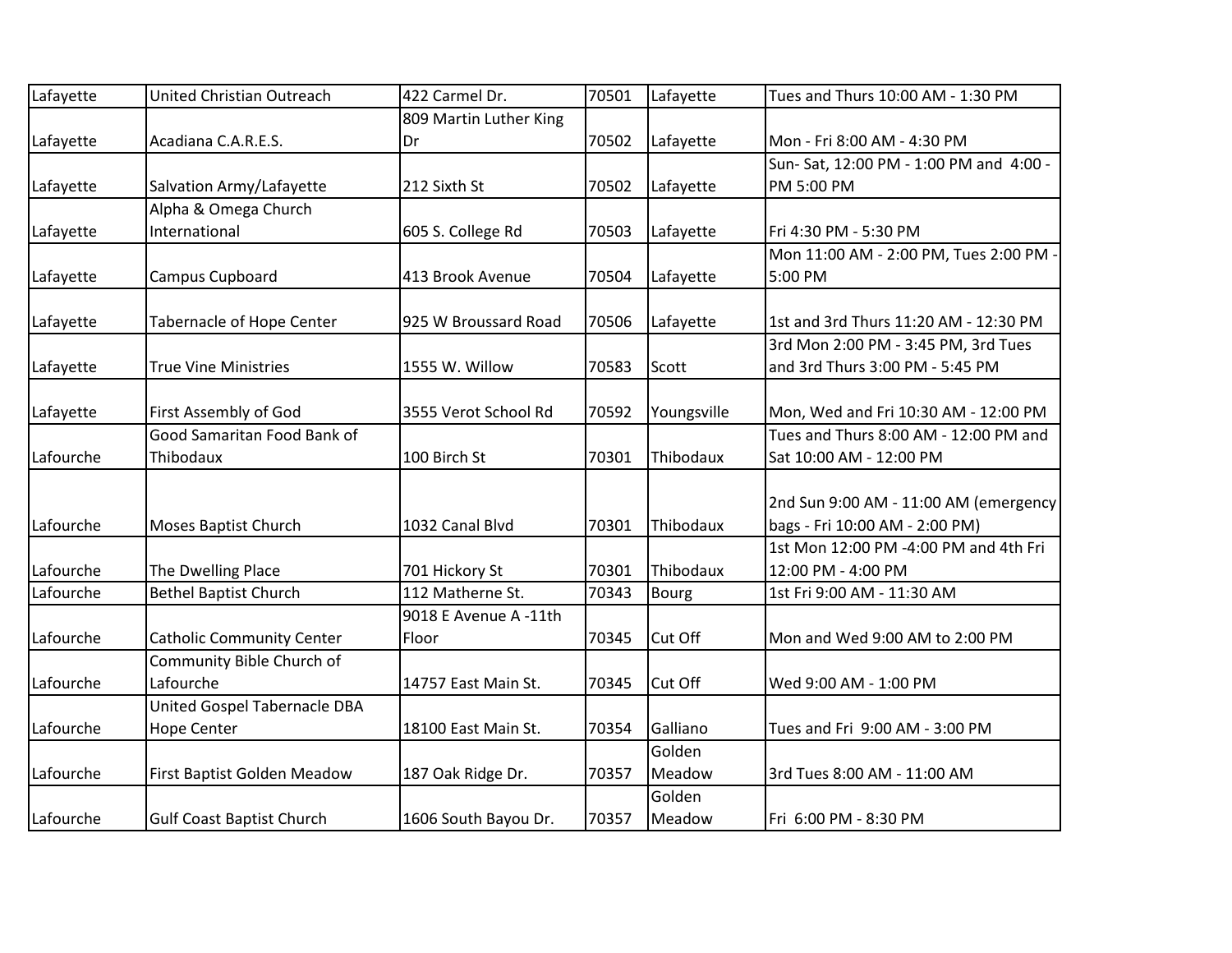| Lafayette | United Christian Outreach        | 422 Carmel Dr.         | 70501 | Lafayette    | Tues and Thurs 10:00 AM - 1:30 PM      |
|-----------|----------------------------------|------------------------|-------|--------------|----------------------------------------|
|           |                                  | 809 Martin Luther King |       |              |                                        |
| Lafayette | Acadiana C.A.R.E.S.              | Dr                     | 70502 | Lafayette    | Mon - Fri 8:00 AM - 4:30 PM            |
|           |                                  |                        |       |              | Sun-Sat, 12:00 PM - 1:00 PM and 4:00 - |
| Lafayette | Salvation Army/Lafayette         | 212 Sixth St           | 70502 | Lafayette    | PM 5:00 PM                             |
|           | Alpha & Omega Church             |                        |       |              |                                        |
| Lafayette | International                    | 605 S. College Rd      | 70503 | Lafayette    | Fri 4:30 PM - 5:30 PM                  |
|           |                                  |                        |       |              | Mon 11:00 AM - 2:00 PM, Tues 2:00 PM - |
| Lafayette | <b>Campus Cupboard</b>           | 413 Brook Avenue       | 70504 | Lafayette    | 5:00 PM                                |
|           |                                  |                        |       |              |                                        |
| Lafayette | <b>Tabernacle of Hope Center</b> | 925 W Broussard Road   | 70506 | Lafayette    | 1st and 3rd Thurs 11:20 AM - 12:30 PM  |
|           |                                  |                        |       |              | 3rd Mon 2:00 PM - 3:45 PM, 3rd Tues    |
| Lafayette | <b>True Vine Ministries</b>      | 1555 W. Willow         | 70583 | Scott        | and 3rd Thurs 3:00 PM - 5:45 PM        |
|           |                                  |                        |       |              |                                        |
| Lafayette | First Assembly of God            | 3555 Verot School Rd   | 70592 | Youngsville  | Mon, Wed and Fri 10:30 AM - 12:00 PM   |
|           | Good Samaritan Food Bank of      |                        |       |              | Tues and Thurs 8:00 AM - 12:00 PM and  |
| Lafourche | Thibodaux                        | 100 Birch St           | 70301 | Thibodaux    | Sat 10:00 AM - 12:00 PM                |
|           |                                  |                        |       |              |                                        |
|           |                                  |                        |       |              | 2nd Sun 9:00 AM - 11:00 AM (emergency  |
| Lafourche | Moses Baptist Church             | 1032 Canal Blvd        | 70301 | Thibodaux    | bags - Fri 10:00 AM - 2:00 PM)         |
|           |                                  |                        |       |              | 1st Mon 12:00 PM -4:00 PM and 4th Fri  |
| Lafourche | The Dwelling Place               | 701 Hickory St         | 70301 | Thibodaux    | 12:00 PM - 4:00 PM                     |
| Lafourche | <b>Bethel Baptist Church</b>     | 112 Matherne St.       | 70343 | <b>Bourg</b> | 1st Fri 9:00 AM - 11:30 AM             |
|           |                                  | 9018 E Avenue A -11th  |       |              |                                        |
| Lafourche | <b>Catholic Community Center</b> | Floor                  | 70345 | Cut Off      | Mon and Wed 9:00 AM to 2:00 PM         |
|           | Community Bible Church of        |                        |       |              |                                        |
| Lafourche | Lafourche                        | 14757 East Main St.    | 70345 | Cut Off      | Wed 9:00 AM - 1:00 PM                  |
|           | United Gospel Tabernacle DBA     |                        |       |              |                                        |
| Lafourche | <b>Hope Center</b>               | 18100 East Main St.    | 70354 | Galliano     | Tues and Fri 9:00 AM - 3:00 PM         |
|           |                                  |                        |       | Golden       |                                        |
| Lafourche | First Baptist Golden Meadow      | 187 Oak Ridge Dr.      | 70357 | Meadow       | 3rd Tues 8:00 AM - 11:00 AM            |
|           |                                  |                        |       | Golden       |                                        |
| Lafourche | <b>Gulf Coast Baptist Church</b> | 1606 South Bayou Dr.   | 70357 | Meadow       | Fri 6:00 PM - 8:30 PM                  |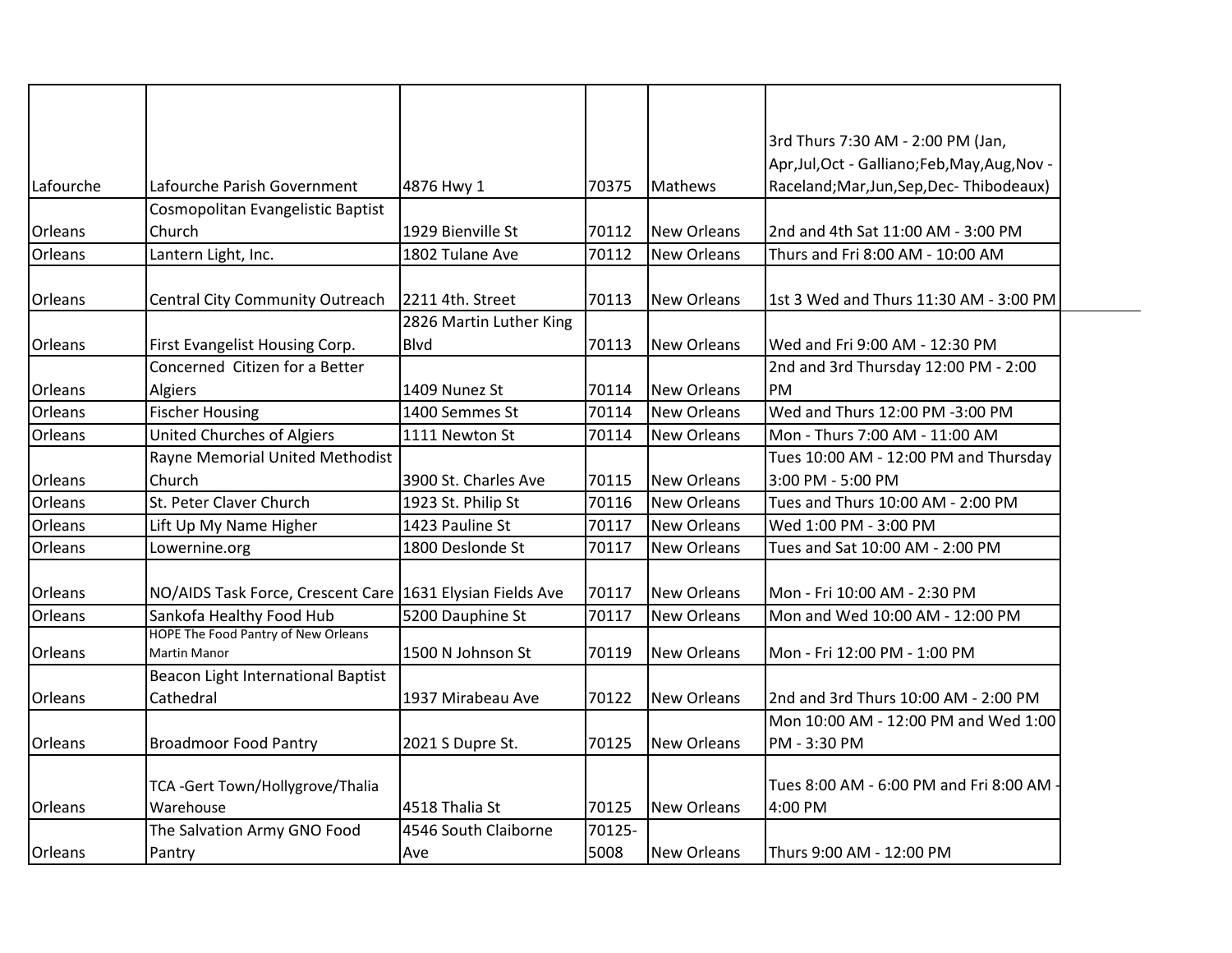|                |                                                           |                         |        |                    | 3rd Thurs 7:30 AM - 2:00 PM (Jan,              |
|----------------|-----------------------------------------------------------|-------------------------|--------|--------------------|------------------------------------------------|
|                |                                                           |                         |        |                    | Apr, Jul, Oct - Galliano; Feb, May, Aug, Nov - |
| Lafourche      | Lafourche Parish Government                               | 4876 Hwy 1              | 70375  | <b>Mathews</b>     | Raceland; Mar, Jun, Sep, Dec-Thibodeaux)       |
|                | Cosmopolitan Evangelistic Baptist                         |                         |        |                    |                                                |
| Orleans        | Church                                                    | 1929 Bienville St       | 70112  | <b>New Orleans</b> | 2nd and 4th Sat 11:00 AM - 3:00 PM             |
| Orleans        | Lantern Light, Inc.                                       | 1802 Tulane Ave         | 70112  | New Orleans        | Thurs and Fri 8:00 AM - 10:00 AM               |
| Orleans        | Central City Community Outreach                           | 2211 4th. Street        | 70113  | <b>New Orleans</b> | 1st 3 Wed and Thurs 11:30 AM - 3:00 PM         |
|                |                                                           | 2826 Martin Luther King |        |                    |                                                |
| Orleans        | First Evangelist Housing Corp.                            | <b>B</b> lvd            | 70113  | <b>New Orleans</b> | Wed and Fri 9:00 AM - 12:30 PM                 |
|                | Concerned Citizen for a Better                            |                         |        |                    | 2nd and 3rd Thursday 12:00 PM - 2:00           |
| <b>Orleans</b> | Algiers                                                   | 1409 Nunez St           | 70114  | <b>New Orleans</b> | PM                                             |
| Orleans        | <b>Fischer Housing</b>                                    | 1400 Semmes St          | 70114  | New Orleans        | Wed and Thurs 12:00 PM -3:00 PM                |
| Orleans        | United Churches of Algiers                                | 1111 Newton St          | 70114  | <b>New Orleans</b> | Mon - Thurs 7:00 AM - 11:00 AM                 |
|                | Rayne Memorial United Methodist                           |                         |        |                    | Tues 10:00 AM - 12:00 PM and Thursday          |
| Orleans        | Church                                                    | 3900 St. Charles Ave    | 70115  | <b>New Orleans</b> | 3:00 PM - 5:00 PM                              |
| Orleans        | St. Peter Claver Church                                   | 1923 St. Philip St      | 70116  | <b>New Orleans</b> | Tues and Thurs 10:00 AM - 2:00 PM              |
| Orleans        | Lift Up My Name Higher                                    | 1423 Pauline St         | 70117  | <b>New Orleans</b> | Wed 1:00 PM - 3:00 PM                          |
| Orleans        | Lowernine.org                                             | 1800 Deslonde St        | 70117  | <b>New Orleans</b> | Tues and Sat 10:00 AM - 2:00 PM                |
| Orleans        | NO/AIDS Task Force, Crescent Care 1631 Elysian Fields Ave |                         | 70117  | <b>New Orleans</b> | Mon - Fri 10:00 AM - 2:30 PM                   |
| Orleans        | Sankofa Healthy Food Hub                                  | 5200 Dauphine St        | 70117  | <b>New Orleans</b> | Mon and Wed 10:00 AM - 12:00 PM                |
|                | <b>HOPE The Food Pantry of New Orleans</b>                |                         |        |                    |                                                |
| Orleans        | <b>Martin Manor</b>                                       | 1500 N Johnson St       | 70119  | <b>New Orleans</b> | Mon - Fri 12:00 PM - 1:00 PM                   |
|                | Beacon Light International Baptist                        |                         |        |                    |                                                |
| Orleans        | Cathedral                                                 | 1937 Mirabeau Ave       | 70122  | <b>New Orleans</b> | 2nd and 3rd Thurs 10:00 AM - 2:00 PM           |
|                |                                                           |                         |        |                    | Mon 10:00 AM - 12:00 PM and Wed 1:00           |
| Orleans        | <b>Broadmoor Food Pantry</b>                              | 2021 S Dupre St.        | 70125  | <b>New Orleans</b> | PM - 3:30 PM                                   |
|                | TCA -Gert Town/Hollygrove/Thalia                          |                         |        |                    | Tues 8:00 AM - 6:00 PM and Fri 8:00 AM -       |
| Orleans        | Warehouse                                                 | 4518 Thalia St          | 70125  | <b>New Orleans</b> | 4:00 PM                                        |
|                | The Salvation Army GNO Food                               | 4546 South Claiborne    | 70125- |                    |                                                |
| Orleans        | Pantry                                                    | Ave                     | 5008   | <b>New Orleans</b> | Thurs 9:00 AM - 12:00 PM                       |
|                |                                                           |                         |        |                    |                                                |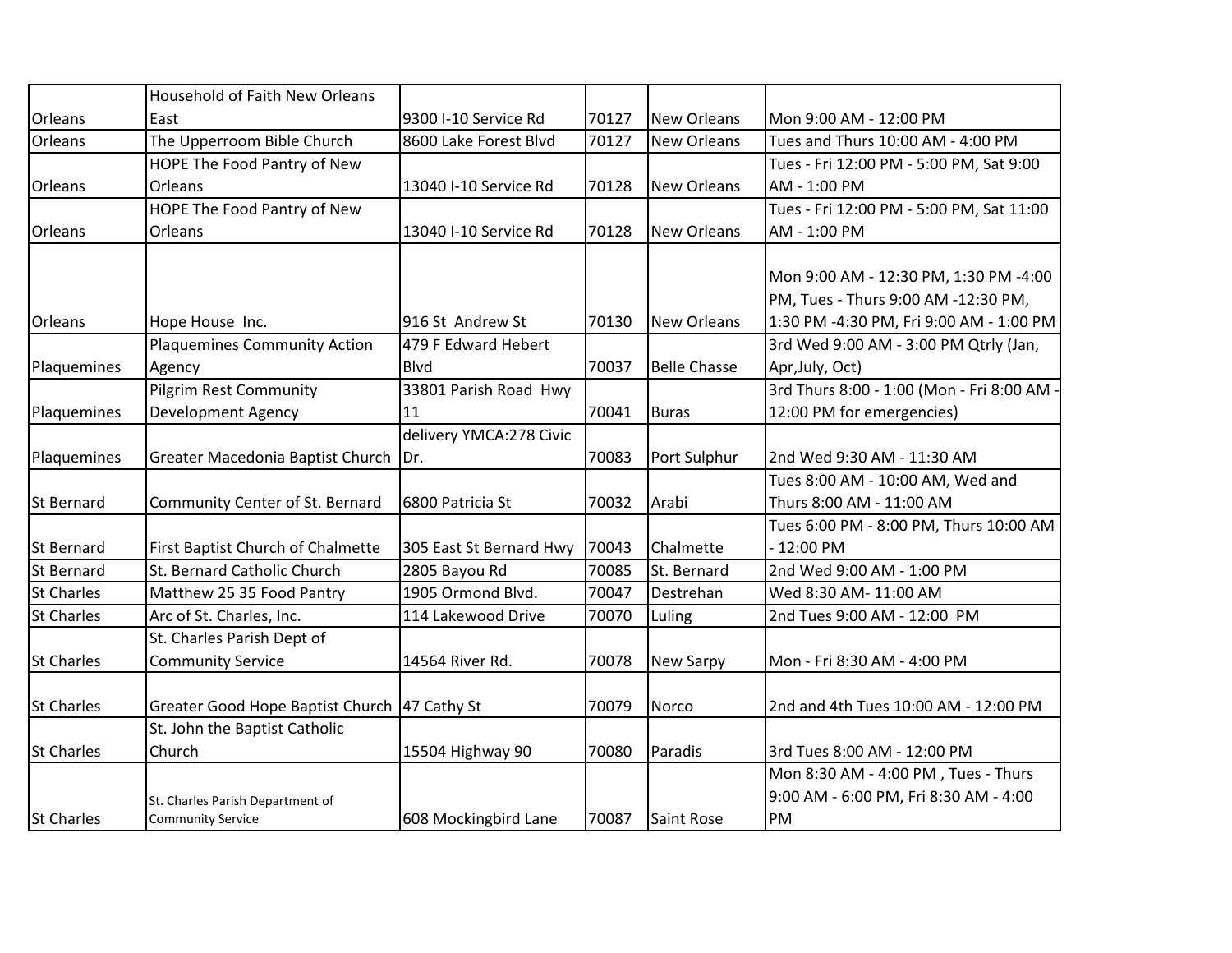|                   | <b>Household of Faith New Orleans</b>        |                         |       |                     |                                          |
|-------------------|----------------------------------------------|-------------------------|-------|---------------------|------------------------------------------|
| <b>Orleans</b>    | East                                         | 9300 I-10 Service Rd    | 70127 | <b>New Orleans</b>  | Mon 9:00 AM - 12:00 PM                   |
| Orleans           | The Upperroom Bible Church                   | 8600 Lake Forest Blvd   | 70127 | <b>New Orleans</b>  | Tues and Thurs 10:00 AM - 4:00 PM        |
|                   | HOPE The Food Pantry of New                  |                         |       |                     | Tues - Fri 12:00 PM - 5:00 PM, Sat 9:00  |
| Orleans           | <b>Orleans</b>                               | 13040 I-10 Service Rd   | 70128 | <b>New Orleans</b>  | AM - 1:00 PM                             |
|                   | HOPE The Food Pantry of New                  |                         |       |                     | Tues - Fri 12:00 PM - 5:00 PM, Sat 11:00 |
| <b>Orleans</b>    | Orleans                                      | 13040 I-10 Service Rd   | 70128 | <b>New Orleans</b>  | AM - 1:00 PM                             |
|                   |                                              |                         |       |                     |                                          |
|                   |                                              |                         |       |                     | Mon 9:00 AM - 12:30 PM, 1:30 PM -4:00    |
|                   |                                              |                         |       |                     | PM, Tues - Thurs 9:00 AM -12:30 PM,      |
| <b>Orleans</b>    | Hope House Inc.                              | 916 St Andrew St        | 70130 | New Orleans         | 1:30 PM -4:30 PM, Fri 9:00 AM - 1:00 PM  |
|                   | Plaquemines Community Action                 | 479 F Edward Hebert     |       |                     | 3rd Wed 9:00 AM - 3:00 PM Qtrly (Jan,    |
| Plaquemines       | Agency                                       | <b>B</b> lvd            | 70037 | <b>Belle Chasse</b> | Apr, July, Oct)                          |
|                   | Pilgrim Rest Community                       | 33801 Parish Road Hwy   |       |                     | 3rd Thurs 8:00 - 1:00 (Mon - Fri 8:00 AM |
| Plaquemines       | <b>Development Agency</b>                    | 11                      | 70041 | <b>Buras</b>        | 12:00 PM for emergencies)                |
|                   |                                              | delivery YMCA:278 Civic |       |                     |                                          |
| Plaquemines       | Greater Macedonia Baptist Church             | IDr.                    | 70083 | Port Sulphur        | 2nd Wed 9:30 AM - 11:30 AM               |
|                   |                                              |                         |       |                     | Tues 8:00 AM - 10:00 AM, Wed and         |
| <b>St Bernard</b> | Community Center of St. Bernard              | 6800 Patricia St        | 70032 | Arabi               | Thurs 8:00 AM - 11:00 AM                 |
|                   |                                              |                         |       |                     | Tues 6:00 PM - 8:00 PM, Thurs 10:00 AM   |
| St Bernard        | First Baptist Church of Chalmette            | 305 East St Bernard Hwy | 70043 | Chalmette           | - 12:00 PM                               |
| <b>St Bernard</b> | St. Bernard Catholic Church                  | 2805 Bayou Rd           | 70085 | St. Bernard         | 2nd Wed 9:00 AM - 1:00 PM                |
| <b>St Charles</b> | Matthew 25 35 Food Pantry                    | 1905 Ormond Blvd.       | 70047 | Destrehan           | Wed 8:30 AM- 11:00 AM                    |
| <b>St Charles</b> | Arc of St. Charles, Inc.                     | 114 Lakewood Drive      | 70070 | Luling              | 2nd Tues 9:00 AM - 12:00 PM              |
|                   | St. Charles Parish Dept of                   |                         |       |                     |                                          |
| <b>St Charles</b> | <b>Community Service</b>                     | 14564 River Rd.         | 70078 | New Sarpy           | Mon - Fri 8:30 AM - 4:00 PM              |
|                   |                                              |                         | 70079 | Norco               | 2nd and 4th Tues 10:00 AM - 12:00 PM     |
| <b>St Charles</b> | Greater Good Hope Baptist Church 47 Cathy St |                         |       |                     |                                          |
|                   | St. John the Baptist Catholic                |                         |       |                     |                                          |
| <b>St Charles</b> | Church                                       | 15504 Highway 90        | 70080 | Paradis             | 3rd Tues 8:00 AM - 12:00 PM              |
|                   |                                              |                         |       |                     | Mon 8:30 AM - 4:00 PM, Tues - Thurs      |
|                   | St. Charles Parish Department of             |                         |       |                     | 9:00 AM - 6:00 PM, Fri 8:30 AM - 4:00    |
| <b>St Charles</b> | <b>Community Service</b>                     | 608 Mockingbird Lane    | 70087 | <b>Saint Rose</b>   | PM                                       |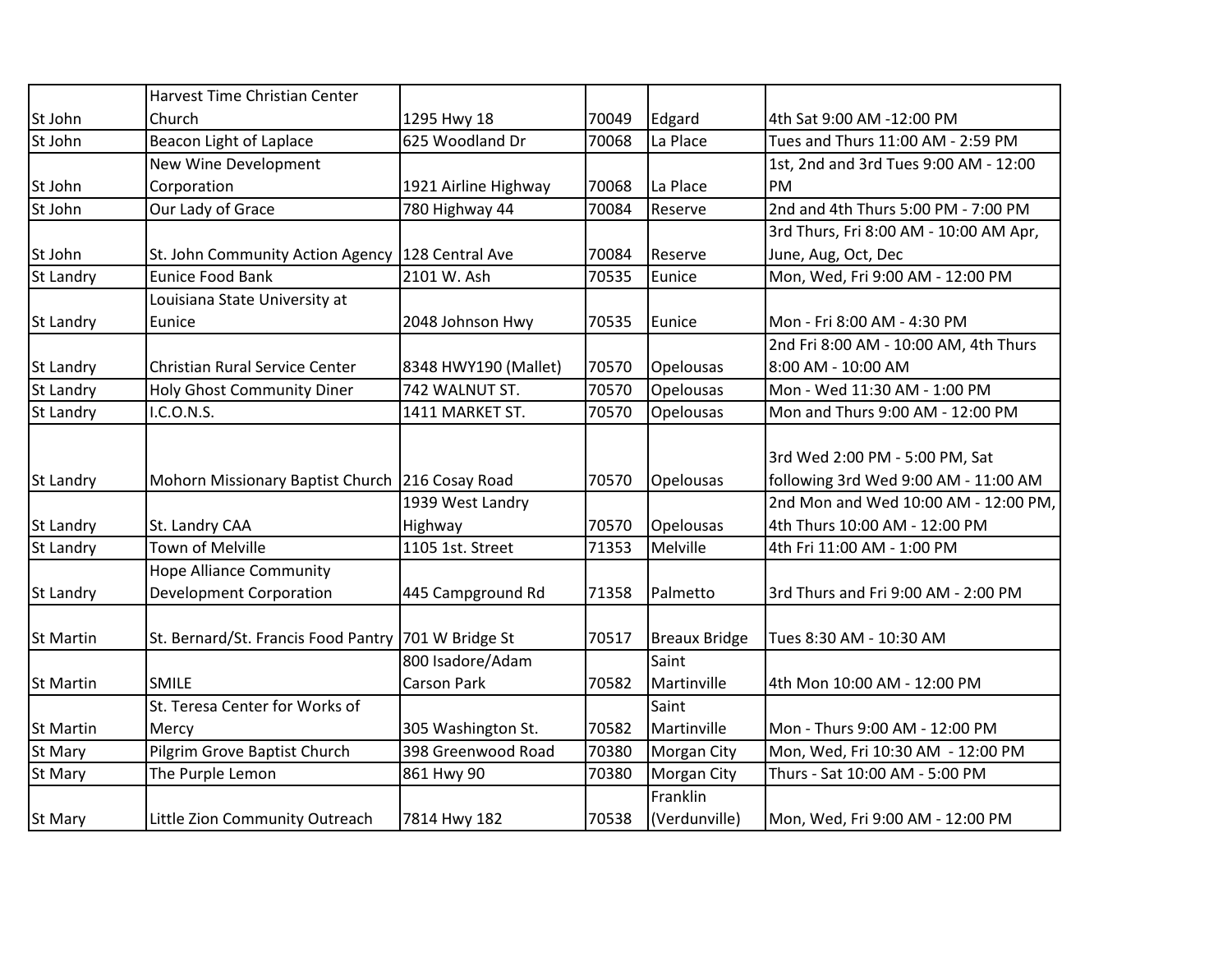|                  | <b>Harvest Time Christian Center</b>                |                      |       |                      |                                        |
|------------------|-----------------------------------------------------|----------------------|-------|----------------------|----------------------------------------|
| St John          | Church                                              | 1295 Hwy 18          | 70049 | Edgard               | 4th Sat 9:00 AM -12:00 PM              |
| St John          | Beacon Light of Laplace                             | 625 Woodland Dr      | 70068 | La Place             | Tues and Thurs 11:00 AM - 2:59 PM      |
|                  | New Wine Development                                |                      |       |                      | 1st, 2nd and 3rd Tues 9:00 AM - 12:00  |
| St John          | Corporation                                         | 1921 Airline Highway | 70068 | La Place             | <b>PM</b>                              |
| St John          | Our Lady of Grace                                   | 780 Highway 44       | 70084 | Reserve              | 2nd and 4th Thurs 5:00 PM - 7:00 PM    |
|                  |                                                     |                      |       |                      | 3rd Thurs, Fri 8:00 AM - 10:00 AM Apr, |
| St John          | St. John Community Action Agency                    | 128 Central Ave      | 70084 | Reserve              | June, Aug, Oct, Dec                    |
| <b>St Landry</b> | <b>Eunice Food Bank</b>                             | 2101 W. Ash          | 70535 | Eunice               | Mon, Wed, Fri 9:00 AM - 12:00 PM       |
|                  | Louisiana State University at                       |                      |       |                      |                                        |
| St Landry        | Eunice                                              | 2048 Johnson Hwy     | 70535 | Eunice               | Mon - Fri 8:00 AM - 4:30 PM            |
|                  |                                                     |                      |       |                      | 2nd Fri 8:00 AM - 10:00 AM, 4th Thurs  |
| St Landry        | Christian Rural Service Center                      | 8348 HWY190 (Mallet) | 70570 | Opelousas            | 8:00 AM - 10:00 AM                     |
| St Landry        | Holy Ghost Community Diner                          | 742 WALNUT ST.       | 70570 | Opelousas            | Mon - Wed 11:30 AM - 1:00 PM           |
| St Landry        | I.C.O.N.S.                                          | 1411 MARKET ST.      | 70570 | Opelousas            | Mon and Thurs 9:00 AM - 12:00 PM       |
|                  |                                                     |                      |       |                      |                                        |
|                  |                                                     |                      |       |                      | 3rd Wed 2:00 PM - 5:00 PM, Sat         |
| St Landry        | Mohorn Missionary Baptist Church 216 Cosay Road     |                      | 70570 | Opelousas            | following 3rd Wed 9:00 AM - 11:00 AM   |
|                  |                                                     | 1939 West Landry     |       |                      | 2nd Mon and Wed 10:00 AM - 12:00 PM,   |
| St Landry        | St. Landry CAA                                      | Highway              | 70570 | Opelousas            | 4th Thurs 10:00 AM - 12:00 PM          |
| St Landry        | <b>Town of Melville</b>                             | 1105 1st. Street     | 71353 | Melville             | 4th Fri 11:00 AM - 1:00 PM             |
|                  | <b>Hope Alliance Community</b>                      |                      |       |                      |                                        |
| St Landry        | <b>Development Corporation</b>                      | 445 Campground Rd    | 71358 | Palmetto             | 3rd Thurs and Fri 9:00 AM - 2:00 PM    |
|                  |                                                     |                      |       |                      |                                        |
| St Martin        | St. Bernard/St. Francis Food Pantry 701 W Bridge St |                      | 70517 | <b>Breaux Bridge</b> | Tues 8:30 AM - 10:30 AM                |
|                  |                                                     | 800 Isadore/Adam     |       | Saint                |                                        |
| <b>St Martin</b> | <b>SMILE</b>                                        | <b>Carson Park</b>   | 70582 | Martinville          | 4th Mon 10:00 AM - 12:00 PM            |
|                  | St. Teresa Center for Works of                      |                      |       | Saint                |                                        |
| <b>St Martin</b> | Mercy                                               | 305 Washington St.   | 70582 | Martinville          | Mon - Thurs 9:00 AM - 12:00 PM         |
| St Mary          | Pilgrim Grove Baptist Church                        | 398 Greenwood Road   | 70380 | <b>Morgan City</b>   | Mon, Wed, Fri 10:30 AM - 12:00 PM      |
| St Mary          | The Purple Lemon                                    | 861 Hwy 90           | 70380 | Morgan City          | Thurs - Sat 10:00 AM - 5:00 PM         |
|                  |                                                     |                      |       | Franklin             |                                        |
| St Mary          | Little Zion Community Outreach                      | 7814 Hwy 182         | 70538 | (Verdunville)        | Mon, Wed, Fri 9:00 AM - 12:00 PM       |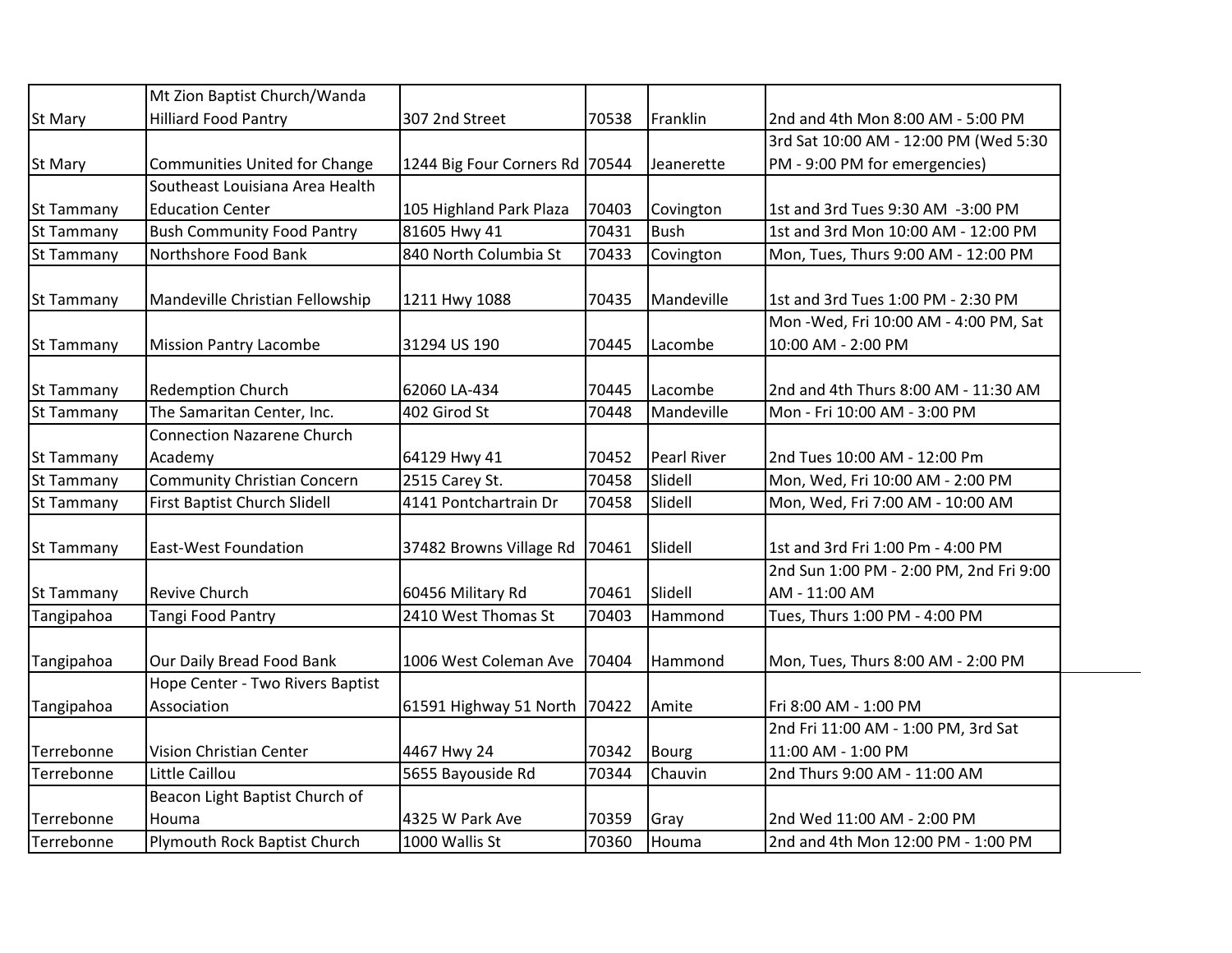|                   | Mt Zion Baptist Church/Wanda        |                                |       |                    |                                         |
|-------------------|-------------------------------------|--------------------------------|-------|--------------------|-----------------------------------------|
| St Mary           | <b>Hilliard Food Pantry</b>         | 307 2nd Street                 | 70538 | Franklin           | 2nd and 4th Mon 8:00 AM - 5:00 PM       |
|                   |                                     |                                |       |                    | 3rd Sat 10:00 AM - 12:00 PM (Wed 5:30   |
| <b>St Mary</b>    | Communities United for Change       | 1244 Big Four Corners Rd 70544 |       | Jeanerette         | PM - 9:00 PM for emergencies)           |
|                   | Southeast Louisiana Area Health     |                                |       |                    |                                         |
| St Tammany        | <b>Education Center</b>             | 105 Highland Park Plaza        | 70403 | Covington          | 1st and 3rd Tues 9:30 AM -3:00 PM       |
| St Tammany        | <b>Bush Community Food Pantry</b>   | 81605 Hwy 41                   | 70431 | <b>Bush</b>        | 1st and 3rd Mon 10:00 AM - 12:00 PM     |
| St Tammany        | Northshore Food Bank                | 840 North Columbia St          | 70433 | Covington          | Mon, Tues, Thurs 9:00 AM - 12:00 PM     |
|                   |                                     |                                |       |                    |                                         |
| St Tammany        | Mandeville Christian Fellowship     | 1211 Hwy 1088                  | 70435 | Mandeville         | 1st and 3rd Tues 1:00 PM - 2:30 PM      |
|                   |                                     |                                |       |                    | Mon - Wed, Fri 10:00 AM - 4:00 PM, Sat  |
| St Tammany        | <b>Mission Pantry Lacombe</b>       | 31294 US 190                   | 70445 | Lacombe            | 10:00 AM - 2:00 PM                      |
|                   |                                     |                                |       |                    |                                         |
| St Tammany        | <b>Redemption Church</b>            | 62060 LA-434                   | 70445 | Lacombe            | 2nd and 4th Thurs 8:00 AM - 11:30 AM    |
| <b>St Tammany</b> | The Samaritan Center, Inc.          | 402 Girod St                   | 70448 | Mandeville         | Mon - Fri 10:00 AM - 3:00 PM            |
|                   | <b>Connection Nazarene Church</b>   |                                |       |                    |                                         |
| St Tammany        | Academy                             | 64129 Hwy 41                   | 70452 | <b>Pearl River</b> | 2nd Tues 10:00 AM - 12:00 Pm            |
| St Tammany        | <b>Community Christian Concern</b>  | 2515 Carey St.                 | 70458 | Slidell            | Mon, Wed, Fri 10:00 AM - 2:00 PM        |
| <b>St Tammany</b> | <b>First Baptist Church Slidell</b> | 4141 Pontchartrain Dr          | 70458 | Slidell            | Mon, Wed, Fri 7:00 AM - 10:00 AM        |
| St Tammany        | <b>East-West Foundation</b>         | 37482 Browns Village Rd        | 70461 | Slidell            | 1st and 3rd Fri 1:00 Pm - 4:00 PM       |
|                   |                                     |                                |       |                    | 2nd Sun 1:00 PM - 2:00 PM, 2nd Fri 9:00 |
| St Tammany        | <b>Revive Church</b>                | 60456 Military Rd              | 70461 | Slidell            | AM - 11:00 AM                           |
| Tangipahoa        | Tangi Food Pantry                   | 2410 West Thomas St            | 70403 | Hammond            | Tues, Thurs 1:00 PM - 4:00 PM           |
|                   |                                     |                                |       |                    |                                         |
| Tangipahoa        | Our Daily Bread Food Bank           | 1006 West Coleman Ave          | 70404 | Hammond            | Mon, Tues, Thurs 8:00 AM - 2:00 PM      |
|                   | Hope Center - Two Rivers Baptist    |                                |       |                    |                                         |
| Tangipahoa        | Association                         | 61591 Highway 51 North         | 70422 | Amite              | Fri 8:00 AM - 1:00 PM                   |
|                   |                                     |                                |       |                    | 2nd Fri 11:00 AM - 1:00 PM, 3rd Sat     |
| Terrebonne        | Vision Christian Center             | 4467 Hwy 24                    | 70342 | <b>Bourg</b>       | 11:00 AM - 1:00 PM                      |
| Terrebonne        | Little Caillou                      | 5655 Bayouside Rd              | 70344 | Chauvin            | 2nd Thurs 9:00 AM - 11:00 AM            |
|                   | Beacon Light Baptist Church of      |                                |       |                    |                                         |
| Terrebonne        | Houma                               | 4325 W Park Ave                | 70359 | Gray               | 2nd Wed 11:00 AM - 2:00 PM              |
| Terrebonne        | Plymouth Rock Baptist Church        | 1000 Wallis St                 | 70360 | Houma              | 2nd and 4th Mon 12:00 PM - 1:00 PM      |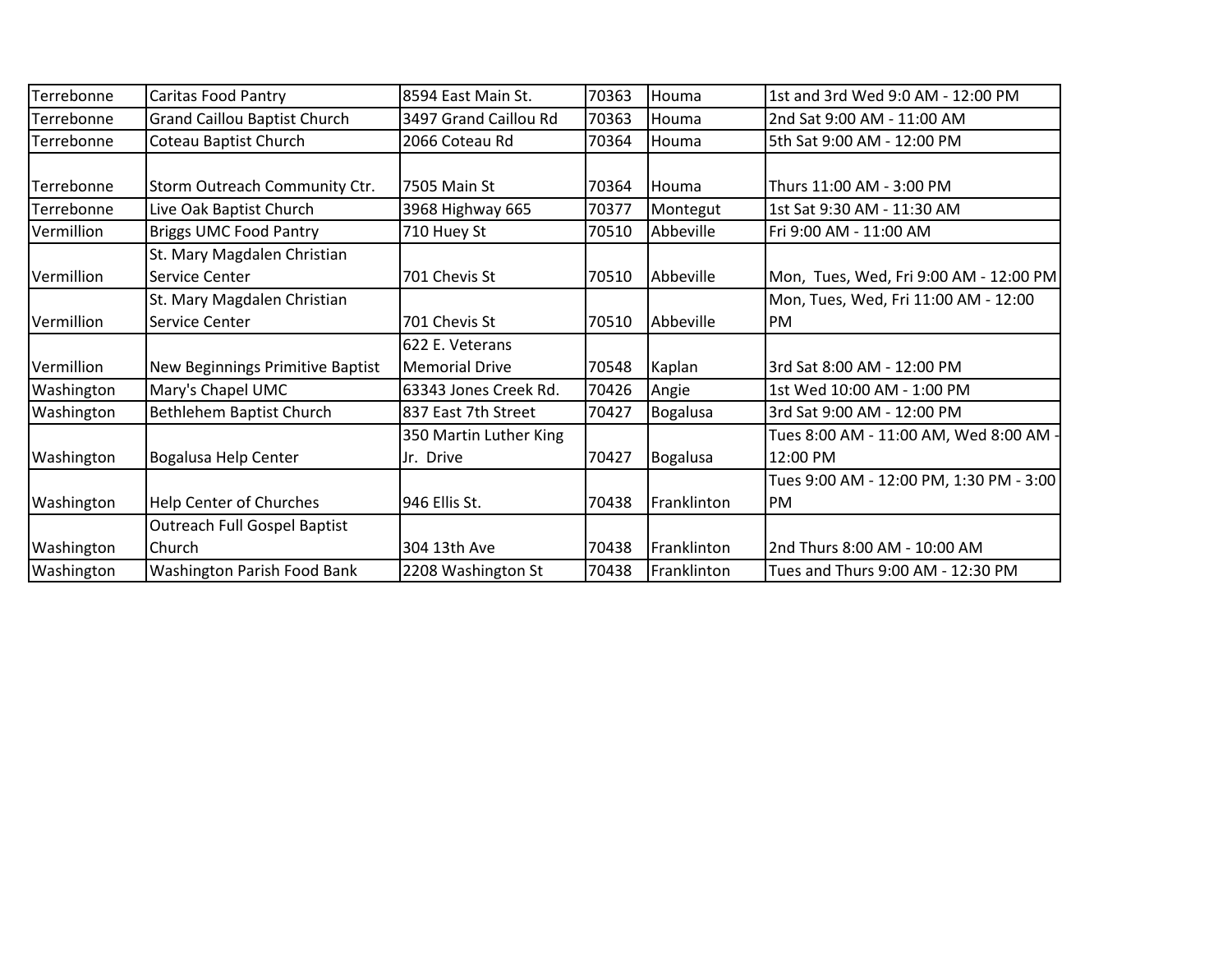| Terrebonne          | <b>Caritas Food Pantry</b>          | 18594 East Main St.    | 70363 | Houma           | 1st and 3rd Wed 9:0 AM - 12:00 PM       |
|---------------------|-------------------------------------|------------------------|-------|-----------------|-----------------------------------------|
| Terrebonne          | <b>Grand Caillou Baptist Church</b> | 3497 Grand Caillou Rd  | 70363 | Houma           | 2nd Sat 9:00 AM - 11:00 AM              |
| Terrebonne          | Coteau Baptist Church               | 2066 Coteau Rd         | 70364 | Houma           | 5th Sat 9:00 AM - 12:00 PM              |
|                     |                                     |                        |       |                 |                                         |
| Terrebonne          | Storm Outreach Community Ctr.       | 7505 Main St           | 70364 | Houma           | Thurs 11:00 AM - 3:00 PM                |
| Terrebonne          | Live Oak Baptist Church             | 3968 Highway 665       | 70377 | Montegut        | 1st Sat 9:30 AM - 11:30 AM              |
| Vermillion          | <b>Briggs UMC Food Pantry</b>       | 710 Huey St            | 70510 | Abbeville       | Fri 9:00 AM - 11:00 AM                  |
|                     | St. Mary Magdalen Christian         |                        |       |                 |                                         |
| Vermillion          | Service Center                      | 701 Chevis St          | 70510 | Abbeville       | Mon, Tues, Wed, Fri 9:00 AM - 12:00 PM  |
|                     | St. Mary Magdalen Christian         |                        |       |                 | Mon, Tues, Wed, Fri 11:00 AM - 12:00    |
| <b>I</b> Vermillion | Service Center                      | 701 Chevis St          | 70510 | Abbeville       | IPM.                                    |
|                     |                                     | 622 E. Veterans        |       |                 |                                         |
| Vermillion          | New Beginnings Primitive Baptist    | <b>Memorial Drive</b>  | 70548 | Kaplan          | 3rd Sat 8:00 AM - 12:00 PM              |
| Washington          | Mary's Chapel UMC                   | 63343 Jones Creek Rd.  | 70426 | Angie           | 1st Wed 10:00 AM - 1:00 PM              |
| Washington          | Bethlehem Baptist Church            | 837 East 7th Street    | 70427 | <b>Bogalusa</b> | 3rd Sat 9:00 AM - 12:00 PM              |
|                     |                                     | 350 Martin Luther King |       |                 | Tues 8:00 AM - 11:00 AM, Wed 8:00 AM -  |
| Washington          | Bogalusa Help Center                | Jr. Drive              | 70427 | <b>Bogalusa</b> | 12:00 PM                                |
|                     |                                     |                        |       |                 | Tues 9:00 AM - 12:00 PM, 1:30 PM - 3:00 |
| <b>Washington</b>   | Help Center of Churches             | 946 Ellis St.          | 70438 | Franklinton     | PM                                      |
|                     | <b>Outreach Full Gospel Baptist</b> |                        |       |                 |                                         |
| Washington          | Church                              | 304 13th Ave           | 70438 | Franklinton     | 2nd Thurs 8:00 AM - 10:00 AM            |
| Washington          | Washington Parish Food Bank         | 2208 Washington St     | 70438 | Franklinton     | Tues and Thurs 9:00 AM - 12:30 PM       |